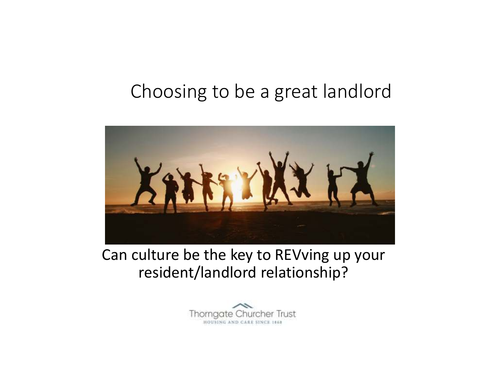## Choosing to be a great landlord



#### Can culture be the key to REVving up your resident/landlord relationship?

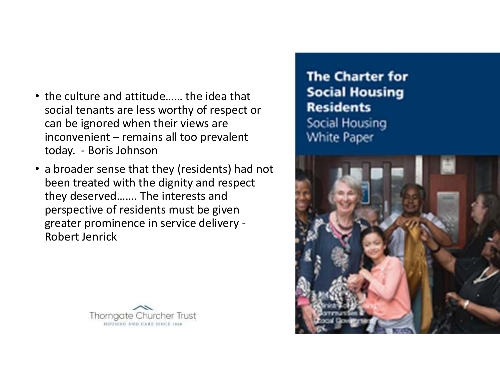- the culture and attitude…… the idea that social tenants are less worthy of respect or can be ignored when their views are inconvenient – remains all too prevalent today. - Boris Johnson
- a broader sense that they (residents) had not been treated with the dignity and respect they deserved……. The interests and perspective of residents must be given greater prominence in service delivery -Robert Jenrick

**Thornaate Churcher Trust** HOUSING AND CARE SINCE 1868

**The Charter for Social Housing Residents** Social Housing White Paper

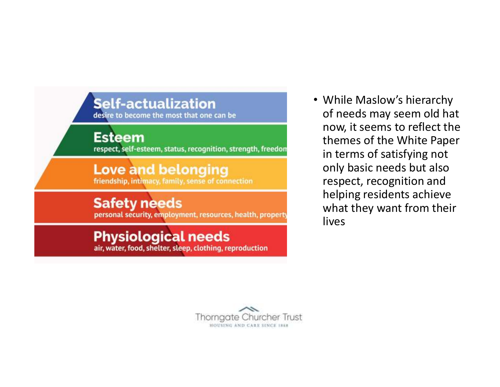#### **Self-actualization**

desire to become the most that one can be

**Esteem** 

respect, self-esteem, status, recognition, strength, freedon

#### **Love and belonging** friendship, intimacy, family, sense of connection

#### **Safety needs**

personal security, employment, resources, health, property

#### **Physiological needs**

air, water, food, shelter, sleep, clothing, reproduction

• While Maslow's hierarchy of needs may seem old hat now, it seems to reflect the themes of the White Paper in terms of satisfying not only basic needs but also respect, recognition and helping residents achieve what they want from their lives

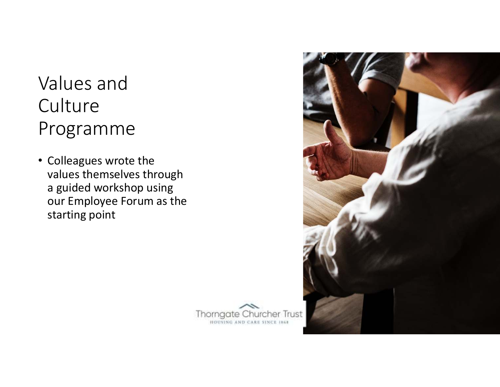# Values and **Culture** Programme

• Colleagues wrote the values themselves through a guided workshop using our Employee Forum as the starting point



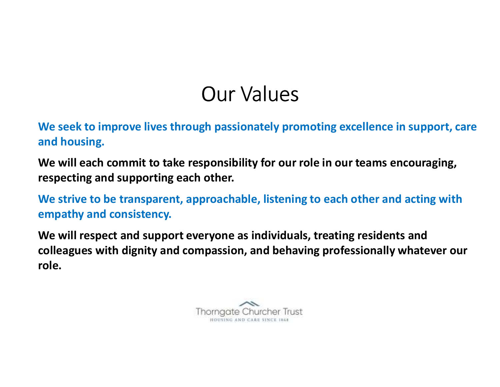# Our Values

**We seek to improve lives through passionately promoting excellence in support, care and housing.**

**We will each commit to take responsibility for our role in our teams encouraging, respecting and supporting each other.**

**We strive to be transparent, approachable, listening to each other and acting with empathy and consistency.**

**We will respect and support everyone as individuals, treating residents and colleagues with dignity and compassion, and behaving professionally whatever our role.**

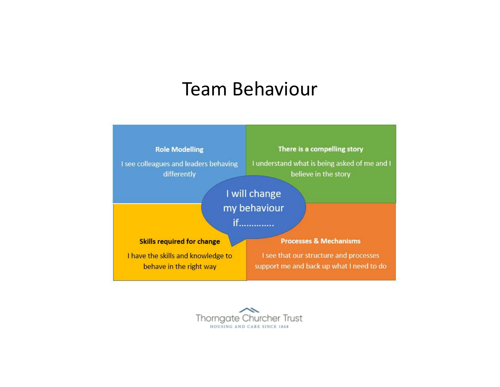#### Team Behaviour



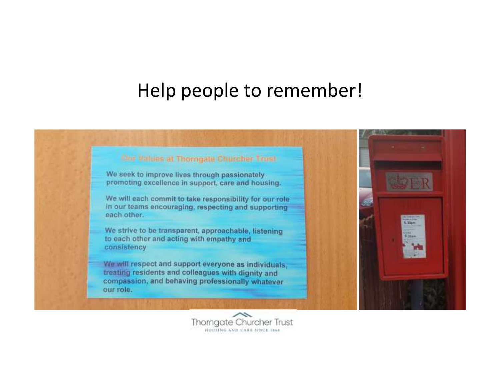#### Help people to remember!



We seek to improve lives through passionately promoting excellence in support, care and housing.

We will each commit to take responsibility for our role in our teams encouraging, respecting and supporting each other.

We strive to be transparent, approachable, listening to each other and acting with empathy and consistency

We will respect and support everyone as individuals. treating residents and colleagues with dignity and compassion, and behaving professionally whatever our role.



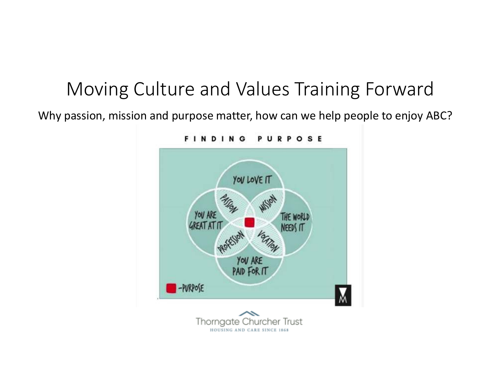## Moving Culture and Values Training Forward

Why passion, mission and purpose matter, how can we help people to enjoy ABC?

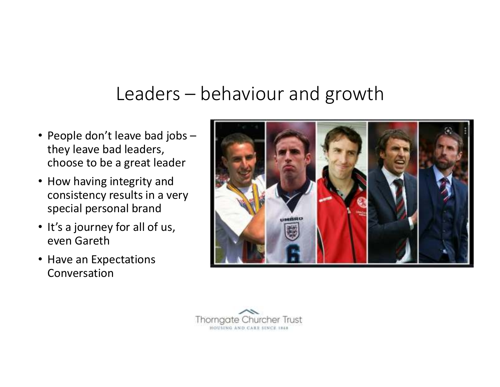## Leaders – behaviour and growth

- People don't leave bad jobs –they leave bad leaders, choose to be a great leader
- How having integrity and consistency results in a very special personal brand
- It's a journey for all of us, even Gareth
- Have an Expectations Conversation



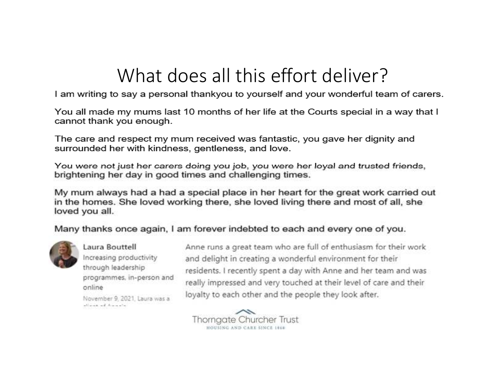## What does all this effort deliver?

I am writing to say a personal thankyou to yourself and your wonderful team of carers.

You all made my mums last 10 months of her life at the Courts special in a way that I cannot thank you enough.

The care and respect my mum received was fantastic, you gave her dignity and surrounded her with kindness, gentleness, and love.

You were not just her carers doing you job, you were her loyal and trusted friends, brightening her day in good times and challenging times.

My mum always had a had a special place in her heart for the great work carried out in the homes. She loved working there, she loved living there and most of all, she loved you all.

Many thanks once again, I am forever indebted to each and every one of you.



Laura Bouttell Increasing productivity through leadership programmes, in-person and online

November 9, 2021, Laura was a alizable of Associate

Anne runs a great team who are full of enthusiasm for their work and delight in creating a wonderful environment for their residents. I recently spent a day with Anne and her team and was really impressed and very touched at their level of care and their loyalty to each other and the people they look after.

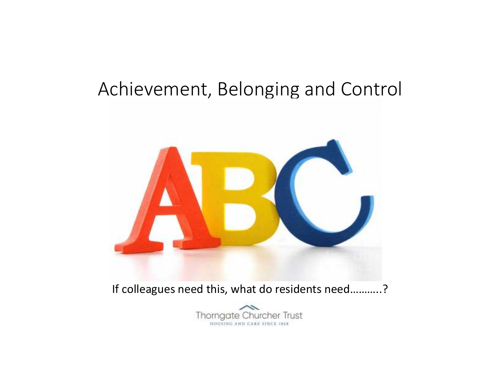### Achievement, Belonging and Control



If colleagues need this, what do residents need...........?

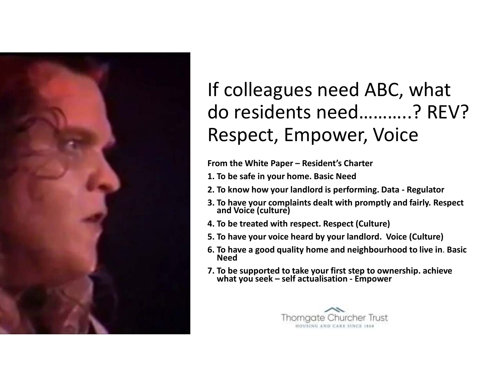

# If colleagues need ABC, what do residents need………..? REV?Respect, Empower, Voice

**From the White Paper – Resident's Charter**

- **1. To be safe in your home. Basic Need**
- **2. To know how your landlord is performing. Data - Regulator**
- **3. To have your complaints dealt with promptly and fairly. Respect and Voice (culture)**
- **4. To be treated with respect. Respect (Culture)**
- **5. To have your voice heard by your landlord. Voice (Culture)**
- **6. To have a good quality home and neighbourhood to live in**. **Basic Need**
- **7. To be supported to take your first step to ownership. achieve what you seek – self actualisation - Empower**

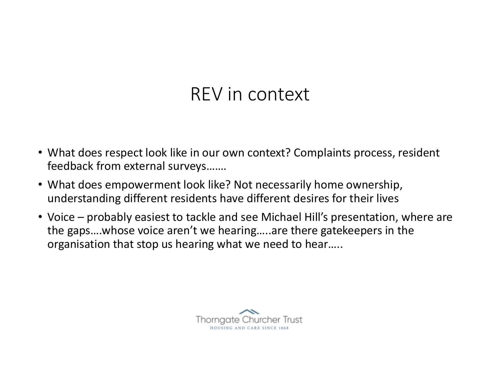### REV in context

- What does respect look like in our own context? Complaints process, resident feedback from external surveys…….
- What does empowerment look like? Not necessarily home ownership, understanding different residents have different desires for their lives
- Voice probably easiest to tackle and see Michael Hill's presentation, where are the gaps….whose voice aren't we hearing…..are there gatekeepers in the organisation that stop us hearing what we need to hear…..

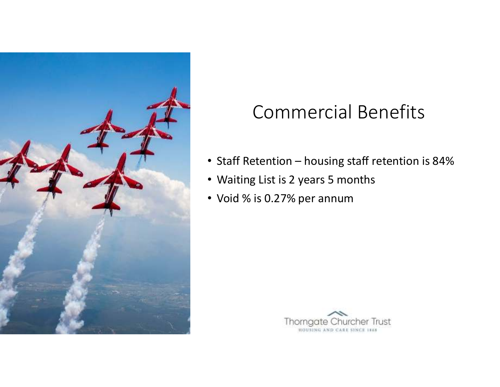

# Commercial Benefits

- Staff Retention housing staff retention is 84%
- Waiting List is 2 years 5 months
- Void % is 0.27% per annum